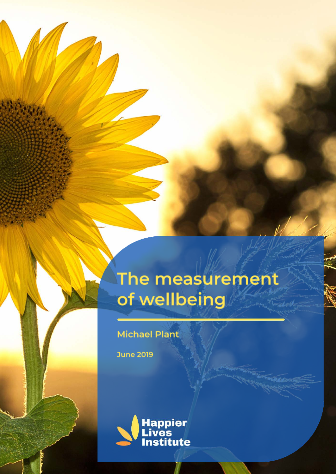# The measurement of wellbeing

**Michael Plant** 

**June 2019** 

48334

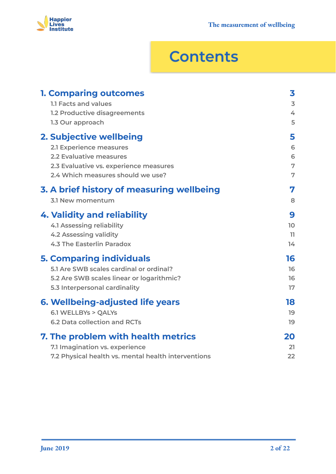

## **Contents**

| <b>1. Comparing outcomes</b>                        | 3                       |
|-----------------------------------------------------|-------------------------|
| 1.1 Facts and values                                | $\overline{\mathbf{3}}$ |
| 1.2 Productive disagreements                        | 4                       |
| 1.3 Our approach                                    | 5                       |
| 2. Subjective wellbeing                             | 5                       |
| 2.1 Experience measures                             | 6                       |
| 2.2 Evaluative measures                             | 6                       |
| 2.3 Evaluative vs. experience measures              | 7                       |
| 2.4 Which measures should we use?                   | 7                       |
| 3. A brief history of measuring wellbeing           | 7                       |
| 3.1 New momentum                                    | 8                       |
| 4. Validity and reliability                         | 9                       |
| <b>4.1 Assessing reliability</b>                    | 10 <sup>°</sup>         |
| <b>4.2 Assessing validity</b>                       | 11                      |
| 4.3 The Easterlin Paradox                           | 14                      |
| <b>5. Comparing individuals</b>                     | 16                      |
| 5.1 Are SWB scales cardinal or ordinal?             | 16                      |
| 5.2 Are SWB scales linear or logarithmic?           | 16                      |
| 5.3 Interpersonal cardinality                       | 17                      |
| 6. Wellbeing-adjusted life years                    | 18                      |
| 6.1 WELLBYs > QALYs                                 | 19                      |
| <b>6.2 Data collection and RCTs</b>                 | 19                      |
| 7. The problem with health metrics                  | 20                      |
| 7.1 Imagination vs. experience                      | 21                      |
| 7.2 Physical health vs. mental health interventions | 22                      |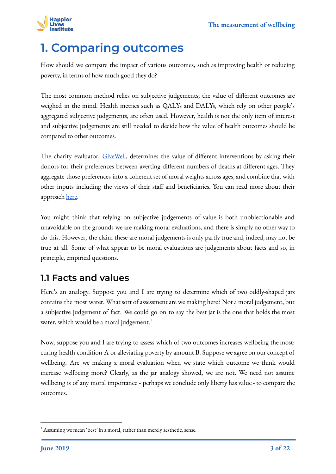

### <span id="page-2-0"></span>**1. Comparing outcomes**

How should we compare the impact of various outcomes, such as improving health or reducing poverty, in terms of how much good they do?

The most common method relies on subjective judgements; the value of different outcomes are weighed in the mind. Health metrics such as QALYs and DALYs, which rely on other people's aggregated subjective judgements, are often used. However, health is not the only item of interest and subjective judgements are still needed to decide how the value of health outcomes should be compared to other outcomes.

The charity evaluator, Give Well, determines the value of different interventions by asking their donors for their preferences between averting different numbers of deaths at different ages. They aggregate those preferences into a coherent set of moral weights across ages, and combine that with other inputs including the views of their staff and beneficiaries. You can read more about their approach [here.](https://docs.google.com/document/d/1hOQf6Ug1WpoicMyFDGoqH7tmf3Njjc15Z1DGERaTbnI/edit#)

You might think that relying on subjective judgements of value is both unobjectionable and unavoidable on the grounds we are making moral evaluations, and there is simply no other way to do this. However, the claim these are moral judgements is only partly true and, indeed, may not be true at all. Some of what appear to be moral evaluations are judgements about facts and so, in principle, empirical questions.

#### <span id="page-2-1"></span>**1.1 Facts and values**

Here's an analogy. Suppose you and I are trying to determine which of two oddly-shaped jars contains the most water. What sort of assessment are we making here? Not a moral judgement, but a subjective judgement of fact. We could go on to say the best jar is the one that holds the most water, which would be a moral judgement.<sup>1</sup>

Now, suppose you and I are trying to assess which of two outcomes increases wellbeing the most: curing health condition A or alleviating poverty by amount B. Suppose we agree on our concept of wellbeing. Are we making a moral evaluation when we state which outcome we think would increase wellbeing more? Clearly, as the jar analogy showed, we are not. We need not assume wellbeing is of any moral importance - perhaps we conclude only liberty has value - to compare the outcomes.

 $1$  Assuming we mean 'best' in a moral, rather than merely aesthetic, sense.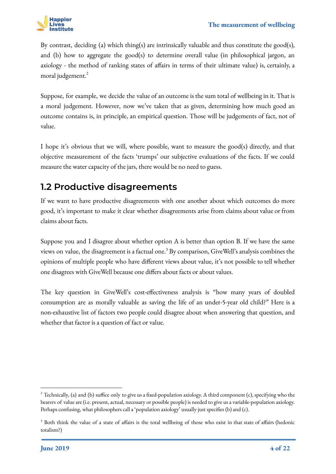

By contrast, deciding (a) which thing(s) are intrinsically valuable and thus constitute the good(s), and (b) how to aggregate the good(s) to determine overall value (in philosophical jargon, an axiology - the method of ranking states of affairs in terms of their ultimate value) is, certainly, a moral judgement. $\frac{2}{x}$ 

Suppose, for example, we decide the value of an outcome is the sum total of wellbeing in it. That is a moral judgement. However, now we've taken that as given, determining how much good an outcome contains is, in principle, an empirical question. Those will be judgements of fact, not of value.

I hope it's obvious that we will, where possible, want to measure the good(s) directly, and that objective measurement of the facts 'trumps' our subjective evaluations of the facts. If we could measure the water capacity of the jars, there would be no need to guess.

#### <span id="page-3-0"></span>**1.2 Productive disagreements**

If we want to have productive disagreements with one another about which outcomes do more good, it's important to make it clear whether disagreements arise from claims about value or from claims about facts.

Suppose you and I disagree about whether option A is better than option B. If we have the same views on value, the disagreement is a factual one.<sup>3</sup> By comparison, GiveWell's analysis combines the opinions of multiple people who have different views about value, it's not possible to tell whether one disagrees with GiveWell because one differs about facts or about values.

The key question in GiveWell's cost-effectiveness analysis is "how many years of doubled consumption are as morally valuable as saving the life of an under-5-year old child?" Here is a non-exhaustive list of factors two people could disagree about when answering that question, and whether that factor is a question of fact or value.

 $2$  Technically, (a) and (b) suffice only to give us a fixed-population axiology. A third component (c), specifying who the bearers of value are (i.e. present, actual, necessary or possible people) is needed to give us a variable-population axiology. Perhaps confusing, what philosophers call a 'population axiology' usually just specifies (b) and (c).

<sup>&</sup>lt;sup>3</sup> Both think the value of a state of affairs is the total wellbeing of those who exist in that state of affairs (hedonic totalism?)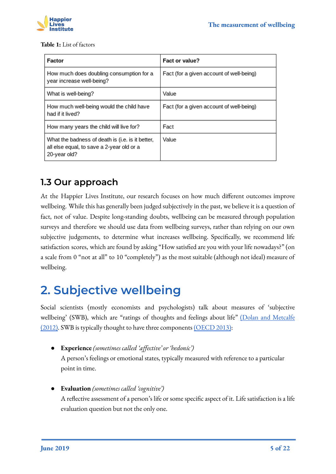

#### **Table 1:** List of factors

| Factor                                                                                                        | Fact or value?                           |
|---------------------------------------------------------------------------------------------------------------|------------------------------------------|
| How much does doubling consumption for a<br>year increase well-being?                                         | Fact (for a given account of well-being) |
| What is well-being?                                                                                           | Value                                    |
| How much well-being would the child have<br>had if it lived?                                                  | Fact (for a given account of well-being) |
| How many years the child will live for?                                                                       | Fact                                     |
| What the badness of death is (i.e. is it better,<br>all else equal, to save a 2-year old or a<br>20-year old? | Value                                    |

#### **1.3 Our approach**

At the Happier Lives Institute, our research focuses on how much different outcomes improve wellbeing. While this has generally been judged subjectively in the past, we believe it is a question of fact, not of value. Despite long-standing doubts, wellbeing can be measured through population surveys and therefore we should use data from wellbeing surveys, rather than relying on our own subjective judgements, to determine what increases wellbeing. Specifically, we recommend life satisfaction scores, which are found by asking "How satisfied are you with your life nowadays?" (on a scale from 0 "not at all" to 10 "completely") as the most suitable (although not ideal) measure of wellbeing.

### <span id="page-4-0"></span>**2. Subjective wellbeing**

Social scientists (mostly economists and psychologists) talk about measures of 'subjective wellbeing' (SWB), which are "ratings of thoughts and feelings about life" [\(Dolan and Metcalfe](http://eprints.lse.ac.uk/43155/1/Dolan_Measuring_subjective_wellbeing_2012.pdf) [\(2012\).](http://eprints.lse.ac.uk/43155/1/Dolan_Measuring_subjective_wellbeing_2012.pdf) SWB is typically thought to have three components [\(OECD 2013\)](http://www.oecd.org/statistics/oecd-guidelines-on-measuring-subjective-well-being-9789264191655-en.htm):

● **Experience** *(sometimes called 'affective' or 'hedonic')*

A person's feelings or emotional states, typically measured with reference to a particular point in time.

● **Evaluation** *(sometimes called 'cognitive')*

A reflective assessment of a person's life or some specific aspect of it. Life satisfaction is a life evaluation question but not the only one.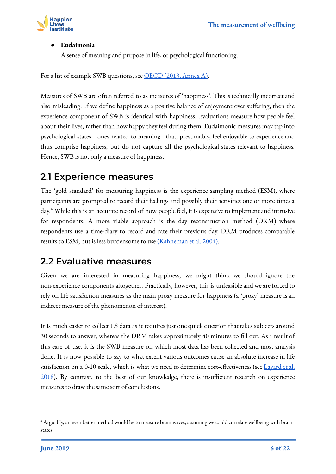

#### ● **Eudaimonia**

A sense of meaning and purpose in life, or psychological functioning.

For a list of example SWB questions, see [OECD \(2013, Annex A\).](https://www.ncbi.nlm.nih.gov/books/NBK189562/)

Measures of SWB are often referred to as measures of 'happiness'. This is technically incorrect and also misleading. If we define happiness as a positive balance of enjoyment over suffering, then the experience component of SWB is identical with happiness. Evaluations measure how people feel about their lives, rather than how happy they feel during them. Eudaimonic measures may tap into psychological states - ones related to meaning - that, presumably, feel enjoyable to experience and thus comprise happiness, but do not capture all the psychological states relevant to happiness. Hence, SWB is not only a measure of happiness.

#### <span id="page-5-0"></span>**2.1 Experience measures**

The 'gold standard' for measuring happiness is the experience sampling method (ESM), where participants are prompted to record their feelings and possibly their activities one or more times a day.<sup>4</sup> While this is an accurate record of how people feel, it is expensive to implement and intrusive for respondents. A more viable approach is the day reconstruction method (DRM) where respondents use a time-diary to record and rate their previous day. DRM produces comparable results to ESM, but is less burdensome to use [\(Kahneman et al. 2004\)](https://www.ncbi.nlm.nih.gov/pubmed/15576620).

#### <span id="page-5-1"></span>**2.2 Evaluative measures**

Given we are interested in measuring happiness, we might think we should ignore the non-experience components altogether. Practically, however, this is unfeasible and we are forced to rely on life satisfaction measures as the main proxy measure for happiness (a 'proxy' measure is an indirect measure of the phenomenon of interest).

It is much easier to collect LS data as it requires just one quick question that takes subjects around 30 seconds to answer, whereas the DRM takes approximately 40 minutes to fill out. As a result of this ease of use, it is the SWB measure on which most data has been collected and most analysis done. It is now possible to say to what extent various outcomes cause an absolute increase in life satisfaction on a 0-10 scale, which is what we need to determine cost-effectiveness (see [Layard et al.](https://www.amazon.co.uk/Origins-Happiness-Science-Well-Being-Course/dp/0691177899) [2018](https://www.amazon.co.uk/Origins-Happiness-Science-Well-Being-Course/dp/0691177899)). By contrast, to the best of our knowledge, there is insufficient research on experience measures to draw the same sort of conclusions.

 $^4$  Arguably, an even better method would be to measure brain waves, assuming we could correlate wellbeing with brain states.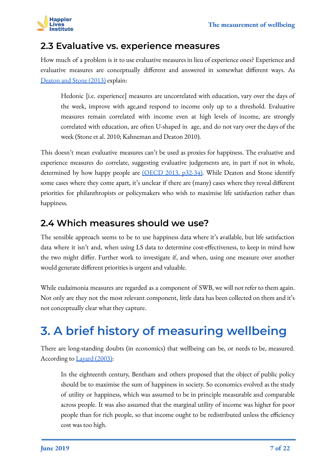

#### <span id="page-6-0"></span>**2.3 Evaluative vs. experience measures**

How much of a problem is it to use evaluative measures in lieu of experience ones? Experience and evaluative measures are conceptually different and answered in somewhat different ways. As [Deaton and Stone \(2013\)](https://pdfs.semanticscholar.org/d5ed/91eb66a1a014e37390fc1268438a0b255f89.pdf) explain:

Hedonic [i.e. experience] measures are uncorrelated with education, vary over the days of the week, improve with age,and respond to income only up to a threshold. Evaluative measures remain correlated with income even at high levels of income, are strongly correlated with education, are often U-shaped in age, and do not vary over the days of the week (Stone et al. 2010; Kahneman and Deaton 2010).

This doesn't mean evaluative measures can't be used as proxies for happiness. The evaluative and experience measures do correlate, suggesting evaluative judgements are, in part if not in whole, determined by how happy people are [\(OECD 2013, p32-34\)](https://read.oecd-ilibrary.org/economics/oecd-guidelines-on-measuring-subjective-well-being_9789264191655-en#page36). While Deaton and Stone identify some cases where they come apart, it's unclear if there are (many) cases where they reveal different priorities for philanthropists or policymakers who wish to maximise life satisfaction rather than happiness.

#### <span id="page-6-1"></span>**2.4 Which measures should we use?**

The sensible approach seems to be to use happiness data where it's available, but life satisfaction data where it isn't and, when using LS data to determine cost-effectiveness, to keep in mind how the two might differ. Further work to investigate if, and when, using one measure over another would generate different priorities is urgent and valuable.

While eudaimonia measures are regarded as a component of SWB, we will not refer to them again. Not only are they not the most relevant component, little data has been collected on them and it's not conceptually clear what they capture.

## <span id="page-6-2"></span>**3. A brief history of measuring wellbeing**

There are long-standing doubts (in economics) that wellbeing can be, or needs to be, measured. According to [Layard \(2003\)](http://cep.lse.ac.uk/_new/events/event.asp?id=165):

In the eighteenth century, Bentham and others proposed that the object of public policy should be to maximise the sum of happiness in society. So economics evolved as the study of utility or happiness, which was assumed to be in principle measurable and comparable across people. It was also assumed that the marginal utility of income was higher for poor people than for rich people, so that income ought to be redistributed unless the efficiency cost was too high.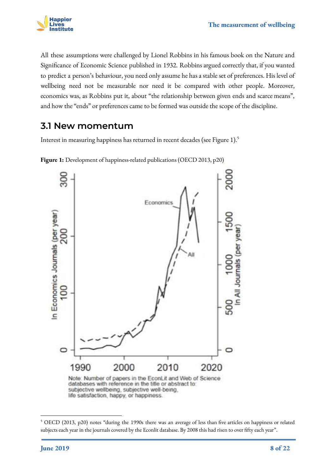

All these assumptions were challenged by Lionel Robbins in his famous book on the Nature and Significance of Economic Science published in 1932. Robbins argued correctly that, if you wanted to predict a person's behaviour, you need only assume he has a stable set of preferences. His level of wellbeing need not be measurable nor need it be compared with other people. Moreover, economics was, as Robbins put it, about "the relationship between given ends and scarce means", and how the "ends" or preferences came to be formed was outside the scope of the discipline.

#### <span id="page-7-0"></span>**3.1 New momentum**

Interest in measuring happiness has returned in recent decades (see Figure 1).<sup>5</sup>



**Figure 1:** Development of happiness-related publications (OECD 2013, p20)

<sup>5</sup> OECD (2013, p20) notes "during the 1990s there was an average of less than five articles on happiness or related subjects each year in the journals covered by the Econlit database. By 2008 this had risen to over fifty each year".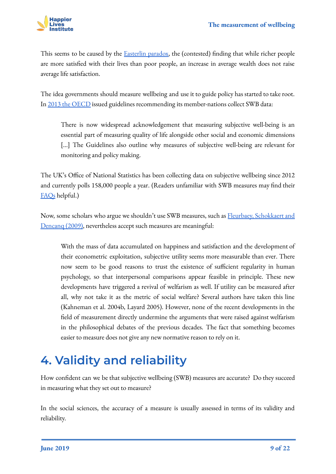

This seems to be caused by the **Easterlin paradox**, the (contested) finding that while richer people are more satisfied with their lives than poor people, an increase in average wealth does not raise average life satisfaction.

The idea governments should measure wellbeing and use it to guide policy has started to take root. In [2013 the OECD](http://www.oecd.org/statistics/oecd-guidelines-on-measuring-subjective-well-being-9789264191655-en.htm) issued guidelines recommending its member-nations collect SWB data:

There is now widespread acknowledgement that measuring subjective well-being is an essential part of measuring quality of life alongside other social and economic dimensions [...] The Guidelines also outline why measures of subjective well-being are relevant for monitoring and policy making.

The UK's Office of National Statistics has been collecting data on subjective wellbeing since 2012 and currently polls 158,000 people a year. (Readers unfamiliar with SWB measures may find their [FAQs](https://www.ons.gov.uk/peoplepopulationandcommunity/wellbeing/methodologies/personalwellbeingfrequentlyaskedquestions) helpful.)

Now, some scholars who argue we shouldn't use SWB measures, such as **Fleurbaey**, Schokkaert and [Dencanq \(2009\)](https://cdn.uclouvain.be/public/Exports%20reddot/core/documents/coredp2009_17.pdf), nevertheless accept such measures are meaningful:

With the mass of data accumulated on happiness and satisfaction and the development of their econometric exploitation, subjective utility seems more measurable than ever. There now seem to be good reasons to trust the existence of sufficient regularity in human psychology, so that interpersonal comparisons appear feasible in principle. These new developments have triggered a revival of welfarism as well. If utility can be measured after all, why not take it as the metric of social welfare? Several authors have taken this line (Kahneman et al. 2004b, Layard 2005). However, none of the recent developments in the field of measurement directly undermine the arguments that were raised against welfarism in the philosophical debates of the previous decades. The fact that something becomes easier to measure does not give any new normative reason to rely on it.

## <span id="page-8-0"></span>**4. Validity and reliability**

How confident can we be that subjective wellbeing (SWB) measures are accurate? Do they succeed in measuring what they set out to measure?

In the social sciences, the accuracy of a measure is usually assessed in terms of its validity and reliability.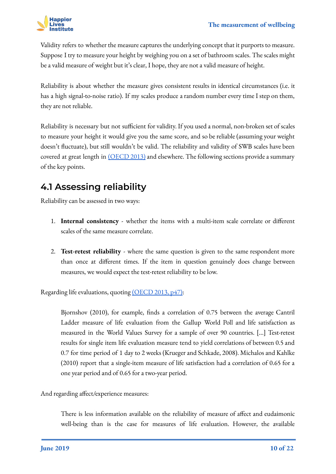

Validity refers to whether the measure captures the underlying concept that it purports to measure. Suppose I try to measure your height by weighing you on a set of bathroom scales. The scales might be a valid measure of weight but it's clear, I hope, they are not a valid measure of height.

Reliability is about whether the measure gives consistent results in identical circumstances (i.e. it has a high signal-to-noise ratio). If my scales produce a random number every time I step on them, they are not reliable.

Reliability is necessary but not sufficient for validity. If you used a normal, non-broken set of scales to measure your height it would give you the same score, and so be reliable (assuming your weight doesn't fluctuate), but still wouldn't be valid. The reliability and validity of SWB scales have been covered at great length in [\(OECD 2013\)](https://read.oecd-ilibrary.org/economics/oecd-guidelines-on-measuring-subjective-well-being_9789264191655-en#page36) and elsewhere. The following sections provide a summary of the key points.

### <span id="page-9-0"></span>**4.1 Assessing reliability**

Reliability can be assessed in two ways:

- 1. **Internal consistency** whether the items with a multi-item scale correlate or different scales of the same measure correlate.
- 2. **Test-retest reliability** where the same question is given to the same respondent more than once at different times. If the item in question genuinely does change between measures, we would expect the test-retest reliability to be low.

Regarding life evaluations, quoting [\(OECD 2013, p47\):](https://read.oecd-ilibrary.org/economics/oecd-guidelines-on-measuring-subjective-well-being_9789264191655-en#page36)

Bjornshov (2010), for example, finds a correlation of 0.75 between the average Cantril Ladder measure of life evaluation from the Gallup World Poll and life satisfaction as measured in the World Values Survey for a sample of over 90 countries. [...] Test-retest results for single item life evaluation measure tend to yield correlations of between 0.5 and 0.7 for time period of 1 day to 2 weeks (Krueger and Schkade, 2008). Michalos and Kahlke (2010) report that a single-item measure of life satisfaction had a correlation of 0.65 for a one year period and of 0.65 for a two-year period.

And regarding affect/experience measures:

There is less information available on the reliability of measure of affect and eudaimonic well-being than is the case for measures of life evaluation. However, the available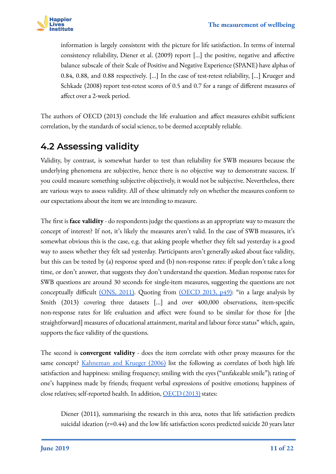

information is largely consistent with the picture for life satisfaction. In terms of internal consistency reliability, Diener et al. (2009) report [...] the positive, negative and affective balance subscale of their Scale of Positive and Negative Experience (SPANE) have alphas of 0.84, 0.88, and 0.88 respectively. [...] In the case of test-retest reliability, [...] Krueger and Schkade (2008) report test-retest scores of 0.5 and 0.7 for a range of different measures of affect over a 2-week period.

The authors of OECD (2013) conclude the life evaluation and affect measures exhibit sufficient correlation, by the standards of social science, to be deemed acceptably reliable.

### <span id="page-10-0"></span>**4.2 Assessing validity**

Validity, by contrast, is somewhat harder to test than reliability for SWB measures because the underlying phenomena are subjective, hence there is no objective way to demonstrate success. If you could measure something subjective objectively, it would not be subjective. Nevertheless, there are various ways to assess validity. All of these ultimately rely on whether the measures conform to our expectations about the item we are intending to measure.

The first is **face validity** - do respondents judge the questions as an appropriate way to measure the concept of interest? If not, it's likely the measures aren't valid. In the case of SWB measures, it's somewhat obvious this is the case, e.g. that asking people whether they felt sad yesterday is a good way to assess whether they felt sad yesterday. Participants aren't generally asked about face validity, but this can be tested by (a) response speed and (b) non-response rates: if people don't take a long time, or don't answer, that suggests they don't understand the question. Median response rates for SWB questions are around 30 seconds for single-item measures, suggesting the questions are not conceptually difficult [\(ONS, 2011\)](http://webarchive.nationalarchives.gov.uk/20160107223442/http:/www.ons.gov.uk/ons/rel/wellbeing/measuring-subjective-wellbeing-in-the-uk/investigation-of-subjective-well-being-data-from-the-ons-opinions-survey/index.html). Quoting from [\(OECD 2013, p49\)](https://read.oecd-ilibrary.org/economics/oecd-guidelines-on-measuring-subjective-well-being_9789264191655-en#page36): "in a large analysis by Smith (2013) covering three datasets [...] and over 400,000 observations, item-specific non-response rates for life evaluation and affect were found to be similar for those for [the straightforward] measures of educational attainment, marital and labour force status" which, again, supports the face validity of the questions.

The second is **convergent validity** - does the item correlate with other proxy measures for the same concept? [Kahneman and Krueger \(2006\)](https://www.aeaweb.org/articles?id=10.1257/089533006776526030) list the following as correlates of both high life satisfaction and happiness: smiling frequency; smiling with the eyes ("unfakeable smile"); rating of one's happiness made by friends; frequent verbal expressions of positive emotions; happiness of close relatives; self-reported health. In addition, [OECD \(2013\)](https://read.oecd-ilibrary.org/economics/oecd-guidelines-on-measuring-subjective-well-being_9789264191655-en#page36) states:

Diener (2011), summarising the research in this area, notes that life satisfaction predicts suicidal ideation (r=0.44) and the low life satisfaction scores predicted suicide 20 years later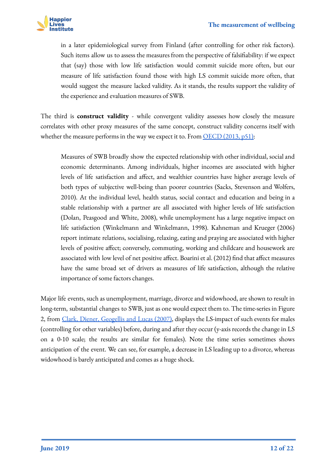

in a later epidemiological survey from Finland (after controlling for other risk factors). Such items allow us to assess the measures from the perspective of falsifiability: if we expect that (say) those with low life satisfaction would commit suicide more often, but our measure of life satisfaction found those with high LS commit suicide more often, that would suggest the measure lacked validity. As it stands, the results support the validity of the experience and evaluation measures of SWB.

The third is **construct validity** - while convergent validity assesses how closely the measure correlates with other proxy measures of the same concept, construct validity concerns itself with whether the measure performs in the way we expect it to. From  $\overline{OECD}$  (2013, p51):

Measures of SWB broadly show the expected relationship with other individual, social and economic determinants. Among individuals, higher incomes are associated with higher levels of life satisfaction and affect, and wealthier countries have higher average levels of both types of subjective well-being than poorer countries (Sacks, Stevenson and Wolfers, 2010). At the individual level, health status, social contact and education and being in a stable relationship with a partner are all associated with higher levels of life satisfaction (Dolan, Peasgood and White, 2008), while unemployment has a large negative impact on life satisfaction (Winkelmann and Winkelmann, 1998). Kahneman and Krueger (2006) report intimate relations, socialising, relaxing, eating and praying are associated with higher levels of positive affect; conversely, commuting, working and childcare and housework are associated with low level of net positive affect. Boarini et al. (2012) find that affect measures have the same broad set of drivers as measures of life satisfaction, although the relative importance of some factors changes.

Major life events, such as unemployment, marriage, divorce and widowhood, are shown to result in long-term, substantial changes to SWB, just as one would expect them to. The time-series in Figure 2, from [Clark, Diener, Geogellis and Lucas \(2007\),](http://ftp.iza.org/dp2526.pdf) displays the LS-impact of such events for males (controlling for other variables) before, during and after they occur (y-axis records the change in LS on a 0-10 scale; the results are similar for females). Note the time series sometimes shows anticipation of the event. We can see, for example, a decrease in LS leading up to a divorce, whereas widowhood is barely anticipated and comes as a huge shock.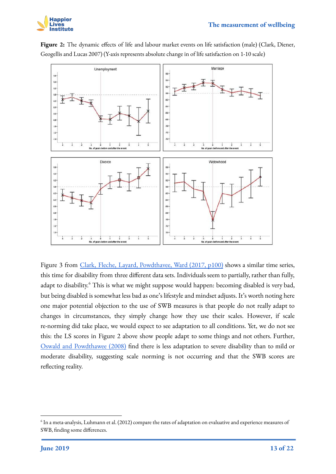



**Figure 2:** The dynamic effects of life and labour market events on life satisfaction (male) (Clark, Diener, Geogellis and Lucas 2007) (Y-axis represents absolute change in of life satisfaction on 1-10 scale)

Figure 3 from [Clark, Fleche, Layard, Powdthavee, Ward \(2017, p100\)](https://www.amazon.co.uk/Origins-Happiness-Science-Well-Being-Course/dp/0691177899) shows a similar time series, this time for disability from three different data sets. Individuals seem to partially, rather than fully, adapt to disability.<sup>6</sup> This is what we might suppose would happen: becoming disabled is very bad, but being disabled is somewhat less bad as one's lifestyle and mindset adjusts. It's worth noting here one major potential objection to the use of SWB measures is that people do not really adapt to changes in circumstances, they simply change how they use their scales. However, if scale re-norming did take place, we would expect to see adaptation to all conditions. Yet, we do not see this: the LS scores in Figure 2 above show people adapt to some things and not others. Further, [Oswald and Powdthawee \(2008\)](https://www.sciencedirect.com/science/article/abs/pii/S004727270800008X) find there is less adaptation to severe disability than to mild or moderate disability, suggesting scale norming is not occurring and that the SWB scores are reflecting reality.

 $^6$  In a meta-analysis, Luhmann et al. (2012) compare the rates of adaptation on evaluative and experience measures of SWB, finding some differences.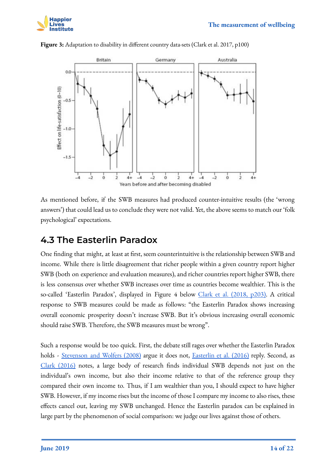



**Figure 3:** Adaptation to disability in different country data-sets (Clark et al. 2017, p100)

As mentioned before, if the SWB measures had produced counter-intuitive results (the 'wrong answers') that could lead us to conclude they were not valid. Yet, the above seems to match our 'folk psychological' expectations.

#### <span id="page-13-0"></span>**4.3 The Easterlin Paradox**

One finding that might, at least at first, seem counterintuitive is the relationship between SWB and income. While there is little disagreement that richer people within a given country report higher SWB (both on experience and evaluation measures), and richer countries report higher SWB, there is less consensus over whether SWB increases over time as countries become wealthier. This is the so-called 'Easterlin Paradox', displayed in Figure 4 below [Clark et al. \(2018, p203\).](https://www.amazon.co.uk/Origins-Happiness-Science-Well-Being-Course/dp/0691177899) A critical response to SWB measures could be made as follows: "the Easterlin Paradox shows increasing overall economic prosperity doesn't increase SWB. But it's obvious increasing overall economic should raise SWB. Therefore, the SWB measures must be wrong".

Such a response would be too quick. First, the debate still rages over whether the Easterlin Paradox holds - [Stevenson and Wolfers \(2008\)](https://www.nber.org/papers/w14282) argue it does not, [Easterlin et al. \(2016\)](http://ftp.iza.org/dp9676.pdf) reply. Second, as [Clark \(2016\)](https://link.springer.com/content/pdf/10.1007%2Fs12232-017-0274-7.pdf) notes, a large body of research finds individual SWB depends not just on the individual's own income, but also their income relative to that of the reference group they compared their own income to. Thus, if I am wealthier than you, I should expect to have higher SWB. However, if my income rises but the income of those I compare my income to also rises, these effects cancel out, leaving my SWB unchanged. Hence the Easterlin paradox can be explained in large part by the phenomenon of social comparison: we judge our lives against those of others.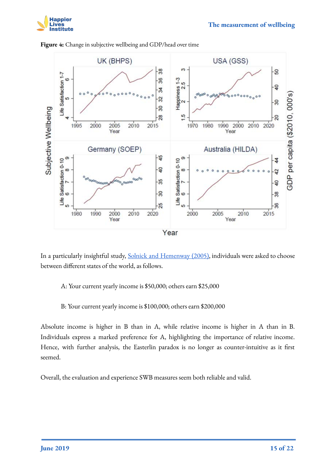



**Figure 4:** Change in subjective wellbeing and GDP/head over time

In a particularly insightful study, [Solnick and Hemenway \(2005\),](https://www.aeaweb.org/articles?id=10.1257/000282805774669925) individuals were asked to choose between different states of the world, as follows.

#### A: Your current yearly income is \$50,000; others earn \$25,000

#### B: Your current yearly income is \$100,000; others earn \$200,000

Absolute income is higher in B than in A, while relative income is higher in A than in B. Individuals express a marked preference for A, highlighting the importance of relative income. Hence, with further analysis, the Easterlin paradox is no longer as counter-intuitive as it first seemed.

Overall, the evaluation and experience SWB measures seem both reliable and valid.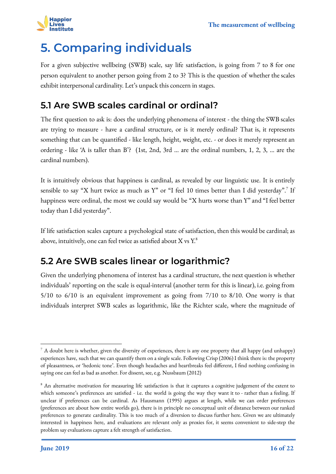

## <span id="page-15-0"></span>**5. Comparing individuals**

For a given subjective wellbeing (SWB) scale, say life satisfaction, is going from 7 to 8 for one person equivalent to another person going from 2 to 3? This is the question of whether the scales exhibit interpersonal cardinality. Let's unpack this concern in stages.

#### <span id="page-15-1"></span>**5.1 Are SWB scales cardinal or ordinal?**

The first question to ask is: does the underlying phenomena of interest - the thing the SWB scales are trying to measure - have a cardinal structure, or is it merely ordinal? That is, it represents something that can be quantified - like length, height, weight, etc. - or does it merely represent an ordering - like 'A is taller than B'? (1st, 2nd, 3rd … are the ordinal numbers, 1, 2, 3, … are the cardinal numbers).

It is intuitively obvious that happiness is cardinal, as revealed by our linguistic use. It is entirely sensible to say "X hurt twice as much as  $Y$ " or "I feel 10 times better than I did yesterday".<sup>7</sup> If happiness were ordinal, the most we could say would be "X hurts worse than Y" and "I feel better today than I did yesterday".

If life satisfaction scales capture a psychological state of satisfaction, then this would be cardinal; as above, intuitively, one can feel twice as satisfied about X vs  $Y^8$ 

### <span id="page-15-2"></span>**5.2 Are SWB scales linear or logarithmic?**

Given the underlying phenomena of interest has a cardinal structure, the next question is whether individuals' reporting on the scale is equal-interval (another term for this is linear), i.e. going from 5/10 to 6/10 is an equivalent improvement as going from 7/10 to 8/10. One worry is that individuals interpret SWB scales as logarithmic, like the Richter scale, where the magnitude of

 $^7$  A doubt here is whether, given the diversity of experiences, there is any one property that all happy (and unhappy) experiences have, such that we can quantify them on a single scale. Following Crisp (2006) I think there is: the property of pleasantness, or 'hedonic tone'. Even though headaches and heartbreaks feel different, I find nothing confusing in saying one can feel as bad as another. For dissent, see, e.g. Nussbaum (2012)

<sup>&</sup>lt;sup>8</sup> An alternative motivation for measuring life satisfaction is that it captures a cognitive judgement of the extent to which someone's preferences are satisfied - i.e. the world is going the way they want it to - rather than a feeling. If unclear if preferences can be cardinal. As Hausmann (1995) argues at length, while we can order preferences (preferences are about how entire worlds go), there is in principle no conceptual unit of distance between our ranked preferences to generate cardinality. This is too much of a diversion to discuss further here. Given we are ultimately interested in happiness here, and evaluations are relevant only as proxies for, it seems convenient to side-step the problem say evaluations capture a felt strength of satisfaction.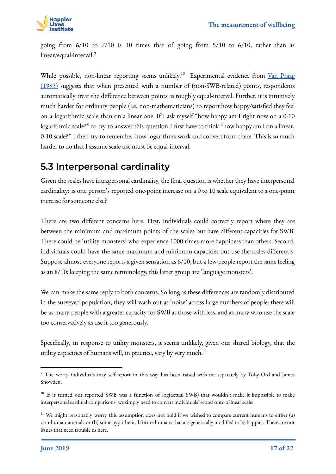

going from 6/10 to 7/10 is 10 times that of going from 5/10 to 6/10, rather than as linear/equal-interval.<sup>9</sup>

While possible, non-linear reporting seems unlikely.<sup>10</sup> Experimental evidence from [Van Praag](http://www.oxfordscholarship.com/view/10.1093/0198287976.001.0001/acprof-9780198287971-chapter-27) [\(1993\)](http://www.oxfordscholarship.com/view/10.1093/0198287976.001.0001/acprof-9780198287971-chapter-27) suggests that when presented with a number of (non-SWB-related) points, respondents automatically treat the difference between points as roughly equal-interval. Further, it is intuitively much harder for ordinary people (i.e. non-mathematicians) to report how happy/satisfied they feel on a logarithmic scale than on a linear one. If I ask myself "how happy am I right now on a 0-10 logarithmic scale?" to try to answer this question I first have to think "how happy am I on a linear, 0-10 scale?" I then try to remember how logarithms work and convert from there. This is so much harder to do that I assume scale use must be equal-interval.

#### <span id="page-16-0"></span>**5.3 Interpersonal cardinality**

Given the scales have intrapersonal cardinality, the final question is whether they have interpersonal cardinality: is one person's reported one-point increase on a 0 to 10 scale equivalent to a one-point increase for someone else?

There are two different concerns here. First, individuals could correctly report where they are between the minimum and maximum points of the scales but have different capacities for SWB. There could be 'utility monsters' who experience 1000 times more happiness than others. Second, individuals could have the same maximum and minimum capacities but use the scales differently. Suppose almost everyone reports a given sensation as 6/10, but a few people report the same feeling as an 8/10; keeping the same terminology, this latter group are 'language monsters'.

We can make the same reply to both concerns. So long as these differences are randomly distributed in the surveyed population, they will wash out as 'noise' across large numbers of people: there will be as many people with a greater capacity for SWB as those with less, and as many who use the scale too conservatively as use it too generously.

Specifically, in response to utility monsters, it seems unlikely, given our shared biology, that the utility capacities of humans will, in practice, vary by very much. $11$ 

<sup>9</sup> The worry individuals may self-report in this way has been raised with me separately by Toby Ord and James Snowden.

<sup>&</sup>lt;sup>10</sup> If it turned out reported SWB was a function of log(actual SWB) that wouldn't make it impossible to make interpersonal cardinal comparisons: we simply need to convert individuals' scores onto a linear scale.

<sup>&</sup>lt;sup>11</sup> We might reasonably worry this assumption does not hold if we wished to compare current humans to either (a) non-human animals or (b) some hypothetical future humans that are genetically modified to be happier. These are not issues that need trouble us here.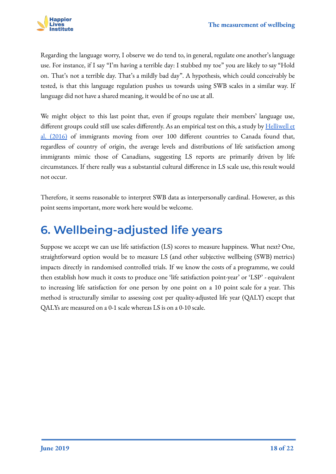

Regarding the language worry, I observe we do tend to, in general, regulate one another's language use. For instance, if I say "I'm having a terrible day: I stubbed my toe" you are likely to say "Hold on. That's not a terrible day. That's a mildly bad day". A hypothesis, which could conceivably be tested, is that this language regulation pushes us towards using SWB scales in a similar way. If language did not have a shared meaning, it would be of no use at all.

We might object to this last point that, even if groups regulate their members' language use, different groups could still use scales differently. As an empirical test on this, a study by [Helliwell et](https://www.nber.org/papers/w22601) [al. \(2016\)](https://www.nber.org/papers/w22601) of immigrants moving from over 100 different countries to Canada found that, regardless of country of origin, the average levels and distributions of life satisfaction among immigrants mimic those of Canadians, suggesting LS reports are primarily driven by life circumstances. If there really was a substantial cultural difference in LS scale use, this result would not occur.

Therefore, it seems reasonable to interpret SWB data as interpersonally cardinal. However, as this point seems important, more work here would be welcome.

### <span id="page-17-0"></span>**6. Wellbeing-adjusted life years**

Suppose we accept we can use life satisfaction (LS) scores to measure happiness. What next? One, straightforward option would be to measure LS (and other subjective wellbeing (SWB) metrics) impacts directly in randomised controlled trials. If we know the costs of a programme, we could then establish how much it costs to produce one 'life satisfaction point-year' or 'LSP' - equivalent to increasing life satisfaction for one person by one point on a 10 point scale for a year. This method is structurally similar to assessing cost per quality-adjusted life year (QALY) except that QALYs are measured on a 0-1 scale whereas LS is on a 0-10 scale.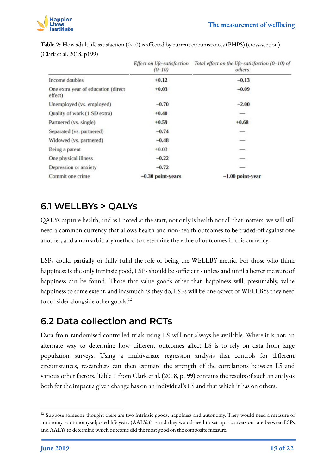

|                                                | Effect on life-satisfaction<br>$(0-10)$ | Total effect on the life-satisfaction (0-10) of<br>others |
|------------------------------------------------|-----------------------------------------|-----------------------------------------------------------|
| Income doubles                                 | $+0.12$                                 | $-0.13$                                                   |
| One extra year of education (direct<br>effect) | $+0.03$                                 | $-0.09$                                                   |
| Unemployed (vs. employed)                      | $-0.70$                                 | $-2.00$                                                   |
| Quality of work (1 SD extra)                   | $+0.40$                                 |                                                           |
| Partnered (vs. single)                         | $+0.59$                                 | $+0.68$                                                   |
| Separated (vs. partnered)                      | $-0.74$                                 | $\overline{\phantom{a}}$                                  |
| Widowed (vs. partnered)                        | $-0.48$                                 | -                                                         |
| Being a parent                                 | $+0.03$                                 |                                                           |
| One physical illness                           | $-0.22$                                 |                                                           |
| Depression or anxiety                          | $-0.72$                                 | -                                                         |
| Commit one crime                               | $-0.30$ point-years                     | $-1.00$ point-year                                        |

**Table 2:** How adult life satisfaction (0-10) is affected by current circumstances (BHPS) (cross-section) (Clark et al. 2018, p199)

#### <span id="page-18-0"></span>**6.1 WELLBYs > QALYs**

QALYs capture health, and as I noted at the start, not only is health not all that matters, we will still need a common currency that allows health and non-health outcomes to be traded-off against one another, and a non-arbitrary method to determine the value of outcomes in this currency.

LSPs could partially or fully fulfil the role of being the WELLBY metric. For those who think happiness is the only intrinsic good, LSPs should be sufficient - unless and until a better measure of happiness can be found. Those that value goods other than happiness will, presumably, value happiness to some extent, and inasmuch as they do, LSPs will be one aspect of WELLBYs they need to consider alongside other goods.<sup>12</sup>

### <span id="page-18-1"></span>**6.2 Data collection and RCTs**

Data from randomised controlled trials using LS will not always be available. Where it is not, an alternate way to determine how different outcomes affect LS is to rely on data from large population surveys. Using a multivariate regression analysis that controls for different circumstances, researchers can then estimate the strength of the correlations between LS and various other factors. Table 1 from Clark et al. (2018, p199) contains the results of such an analysis both for the impact a given change has on an individual's LS and that which it has on others.

<sup>&</sup>lt;sup>12</sup> Suppose someone thought there are two intrinsic goods, happiness and autonomy. They would need a measure of autonomy - autonomy-adjusted life years (AALYs)? - and they would need to set up a conversion rate between LSPs and AALYs to determine which outcome did the most good on the composite measure.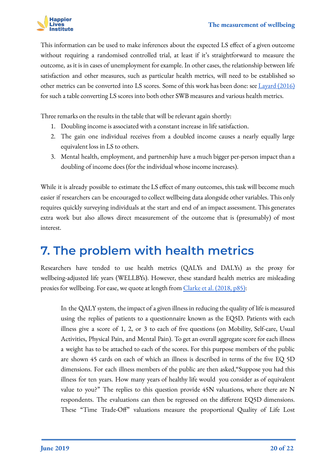

This information can be used to make inferences about the expected LS effect of a given outcome without requiring a randomised controlled trial, at least if it's straightforward to measure the outcome, as it is in cases of unemployment for example. In other cases, the relationship between life satisfaction and other measures, such as particular health metrics, will need to be established so other metrics can be converted into LS scores. Some of this work has been done: see [Layard \(2016\)](https://whatworkswellbeing.org/product/measuring-wellbeing-and-cost-effectiveness-analysis-using-subjective-wellbeing/) for such a table converting LS scores into both other SWB measures and various health metrics.

Three remarks on the results in the table that will be relevant again shortly:

- 1. Doubling income is associated with a constant increase in life satisfaction.
- 2. The gain one individual receives from a doubled income causes a nearly equally large equivalent loss in LS to others.
- 3. Mental health, employment, and partnership have a much bigger per-person impact than a doubling of income does (for the individual whose income increases).

While it is already possible to estimate the LS effect of many outcomes, this task will become much easier if researchers can be encouraged to collect wellbeing data alongside other variables. This only requires quickly surveying individuals at the start and end of an impact assessment. This generates extra work but also allows direct measurement of the outcome that is (presumably) of most interest.

### <span id="page-19-0"></span>**7. The problem with health metrics**

Researchers have tended to use health metrics (QALYs and DALYs) as the proxy for wellbeing-adjusted life years (WELLBYs). However, these standard health metrics are misleading proxies for wellbeing. For ease, we quote at length from [Clarke et al. \(2018, p85\)](http://78.142.19.55/OceanofPDF.com/The_Origins_of_Happiness__The_Science_of_W_-_Andrew_E_Clark.):

In the QALY system, the impact of a given illness in reducing the quality of life is measured using the replies of patients to a questionnaire known as the EQ5D. Patients with each illness give a score of 1, 2, or 3 to each of five questions (on Mobility, Self-care, Usual Activities, Physical Pain, and Mental Pain). To get an overall aggregate score for each illness a weight has to be attached to each of the scores. For this purpose members of the public are shown 45 cards on each of which an illness is described in terms of the five EQ 5D dimensions. For each illness members of the public are then asked,"Suppose you had this illness for ten years. How many years of healthy life would you consider as of equivalent value to you?" The replies to this question provide 45N valuations, where there are N respondents. The evaluations can then be regressed on the different EQ5D dimensions. These "Time Trade-Off" valuations measure the proportional Quality of Life Lost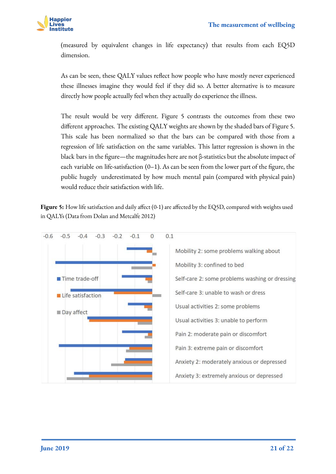

(measured by equivalent changes in life expectancy) that results from each EQ5D dimension.

As can be seen, these QALY values reflect how people who have mostly never experienced these illnesses imagine they would feel if they did so. A better alternative is to measure directly how people actually feel when they actually do experience the illness.

The result would be very different. Figure 5 contrasts the outcomes from these two different approaches. The existing QALY weights are shown by the shaded bars of Figure 5. This scale has been normalized so that the bars can be compared with those from a regression of life satisfaction on the same variables. This latter regression is shown in the black bars in the figure—the magnitudes here are not β-statistics but the absolute impact of each variable on life-satisfaction  $(0-1)$ . As can be seen from the lower part of the figure, the public hugely underestimated by how much mental pain (compared with physical pain) would reduce their satisfaction with life.

Figure 5: How life satisfaction and daily affect (0-1) are affected by the EQ5D, compared with weights used in QALYs (Data from Dolan and Metcalfe 2012)